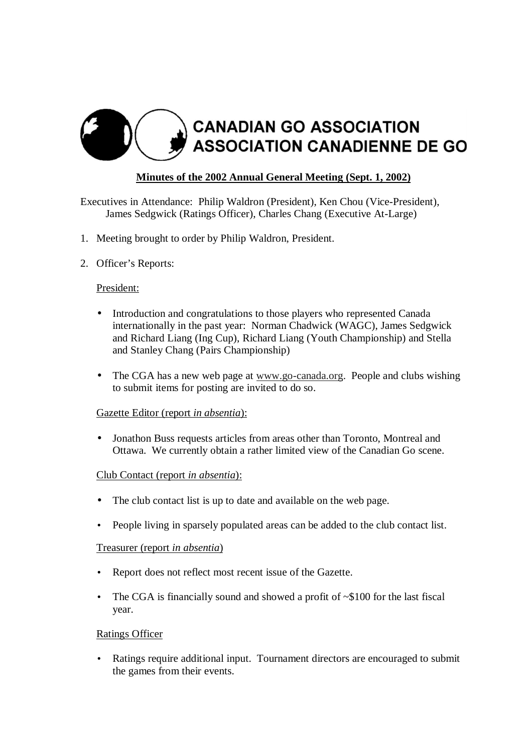

# **Minutes of the 2002 Annual General Meeting (Sept. 1, 2002)**

Executives in Attendance: Philip Waldron (President), Ken Chou (Vice-President), James Sedgwick (Ratings Officer), Charles Chang (Executive At-Large)

- 1. Meeting brought to order by Philip Waldron, President.
- 2. Officer's Reports:

## President:

- Introduction and congratulations to those players who represented Canada internationally in the past year: Norman Chadwick (WAGC), James Sedgwick and Richard Liang (Ing Cup), Richard Liang (Youth Championship) and Stella and Stanley Chang (Pairs Championship)
- The CGA has a new web page at www.go-canada.org. People and clubs wishing to submit items for posting are invited to do so.

## Gazette Editor (report *in absentia*):

• Jonathon Buss requests articles from areas other than Toronto, Montreal and Ottawa. We currently obtain a rather limited view of the Canadian Go scene.

## Club Contact (report *in absentia*):

- The club contact list is up to date and available on the web page.
- People living in sparsely populated areas can be added to the club contact list.

## Treasurer (report *in absentia*)

- Report does not reflect most recent issue of the Gazette.
- The CGA is financially sound and showed a profit of  $\sim $100$  for the last fiscal year.

## Ratings Officer

• Ratings require additional input. Tournament directors are encouraged to submit the games from their events.